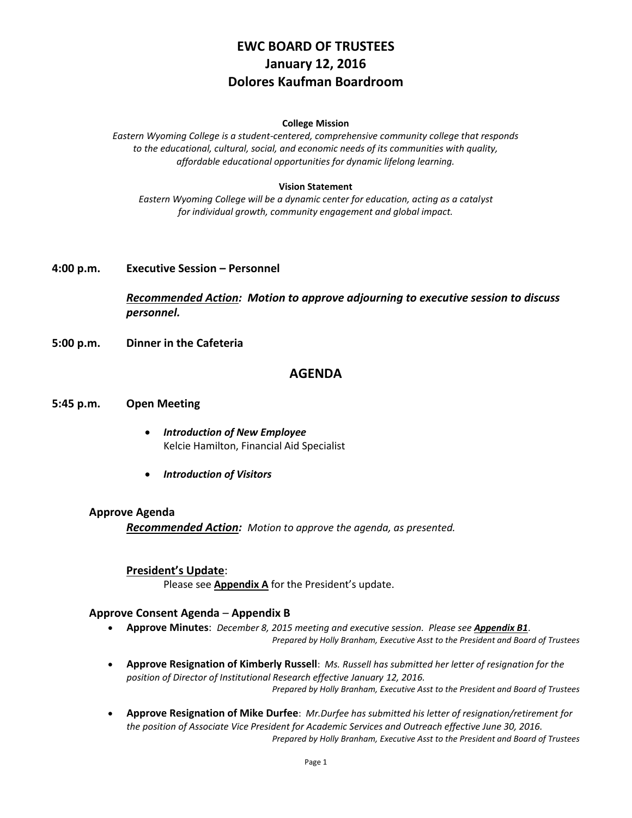# **EWC BOARD OF TRUSTEES January 12, 2016 Dolores Kaufman Boardroom**

#### **College Mission**

*Eastern Wyoming College is a student-centered, comprehensive community college that responds to the educational, cultural, social, and economic needs of its communities with quality, affordable educational opportunities for dynamic lifelong learning.*

#### **Vision Statement**

*Eastern Wyoming College will be a dynamic center for education, acting as a catalyst for individual growth, community engagement and global impact.*

#### **4:00 p.m. Executive Session – Personnel**

*Recommended Action: Motion to approve adjourning to executive session to discuss personnel.*

**5:00 p.m. Dinner in the Cafeteria**

### **AGENDA**

#### **5:45 p.m. Open Meeting**

- *Introduction of New Employee* Kelcie Hamilton, Financial Aid Specialist
- *Introduction of Visitors*

#### **Approve Agenda**

*Recommended Action: Motion to approve the agenda, as presented.*

#### **President's Update**:

Please see **Appendix A** for the President's update.

#### **Approve Consent Agenda** – **Appendix B**

- **Approve Minutes**: *December 8, 2015 meeting and executive session. Please see Appendix B1*. *Prepared by Holly Branham, Executive Asst to the President and Board of Trustees*
- **Approve Resignation of Kimberly Russell**: *Ms. Russell has submitted her letter of resignation for the position of Director of Institutional Research effective January 12, 2016. Prepared by Holly Branham, Executive Asst to the President and Board of Trustees*
- **Approve Resignation of Mike Durfee**: *Mr.Durfee has submitted his letter of resignation/retirement for the position of Associate Vice President for Academic Services and Outreach effective June 30, 2016. Prepared by Holly Branham, Executive Asst to the President and Board of Trustees*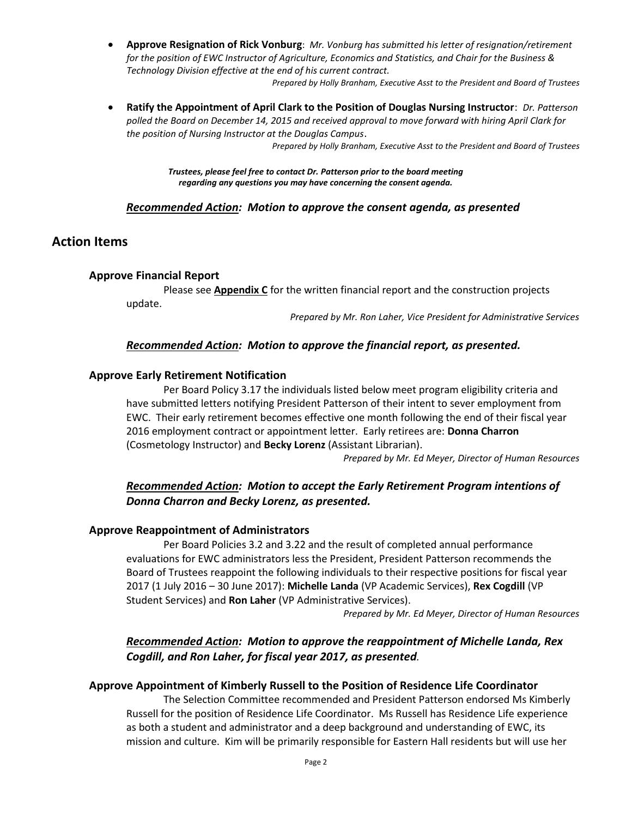- **Approve Resignation of Rick Vonburg**: *Mr. Vonburg has submitted his letter of resignation/retirement for the position of EWC Instructor of Agriculture, Economics and Statistics, and Chair for the Business & Technology Division effective at the end of his current contract.*
	- *Prepared by Holly Branham, Executive Asst to the President and Board of Trustees*
- **Ratify the Appointment of April Clark to the Position of Douglas Nursing Instructor**: *Dr. Patterson polled the Board on December 14, 2015 and received approval to move forward with hiring April Clark for the position of Nursing Instructor at the Douglas Campus*.

*Prepared by Holly Branham, Executive Asst to the President and Board of Trustees*

*Trustees, please feel free to contact Dr. Patterson prior to the board meeting regarding any questions you may have concerning the consent agenda.*

#### *Recommended Action: Motion to approve the consent agenda, as presented*

### **Action Items**

#### **Approve Financial Report**

Please see **Appendix C** for the written financial report and the construction projects update.

*Prepared by Mr. Ron Laher, Vice President for Administrative Services*

### *Recommended Action: Motion to approve the financial report, as presented.*

#### **Approve Early Retirement Notification**

Per Board Policy 3.17 the individuals listed below meet program eligibility criteria and have submitted letters notifying President Patterson of their intent to sever employment from EWC. Their early retirement becomes effective one month following the end of their fiscal year 2016 employment contract or appointment letter. Early retirees are: **Donna Charron** (Cosmetology Instructor) and **Becky Lorenz** (Assistant Librarian).

*Prepared by Mr. Ed Meyer, Director of Human Resources*

### *Recommended Action: Motion to accept the Early Retirement Program intentions of Donna Charron and Becky Lorenz, as presented.*

#### **Approve Reappointment of Administrators**

Per Board Policies 3.2 and 3.22 and the result of completed annual performance evaluations for EWC administrators less the President, President Patterson recommends the Board of Trustees reappoint the following individuals to their respective positions for fiscal year 2017 (1 July 2016 – 30 June 2017): **Michelle Landa** (VP Academic Services), **Rex Cogdill** (VP Student Services) and **Ron Laher** (VP Administrative Services).

*Prepared by Mr. Ed Meyer, Director of Human Resources*

## *Recommended Action: Motion to approve the reappointment of Michelle Landa, Rex Cogdill, and Ron Laher, for fiscal year 2017, as presented.*

#### **Approve Appointment of Kimberly Russell to the Position of Residence Life Coordinator**

The Selection Committee recommended and President Patterson endorsed Ms Kimberly Russell for the position of Residence Life Coordinator. Ms Russell has Residence Life experience as both a student and administrator and a deep background and understanding of EWC, its mission and culture. Kim will be primarily responsible for Eastern Hall residents but will use her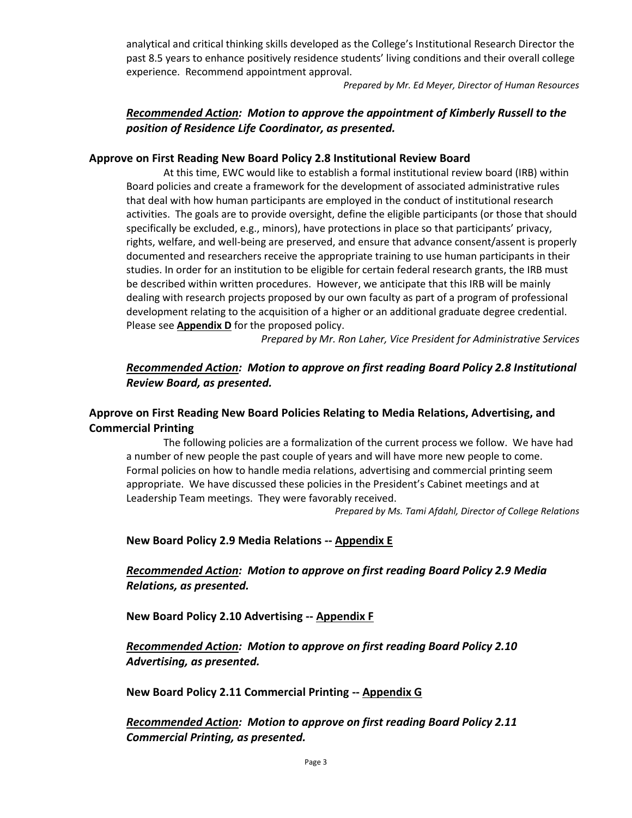analytical and critical thinking skills developed as the College's Institutional Research Director the past 8.5 years to enhance positively residence students' living conditions and their overall college experience. Recommend appointment approval.

*Prepared by Mr. Ed Meyer, Director of Human Resources*

# *Recommended Action: Motion to approve the appointment of Kimberly Russell to the position of Residence Life Coordinator, as presented.*

### **Approve on First Reading New Board Policy 2.8 Institutional Review Board**

At this time, EWC would like to establish a formal institutional review board (IRB) within Board policies and create a framework for the development of associated administrative rules that deal with how human participants are employed in the conduct of institutional research activities. The goals are to provide oversight, define the eligible participants (or those that should specifically be excluded, e.g., minors), have protections in place so that participants' privacy, rights, welfare, and well-being are preserved, and ensure that advance consent/assent is properly documented and researchers receive the appropriate training to use human participants in their studies. In order for an institution to be eligible for certain federal research grants, the IRB must be described within written procedures. However, we anticipate that this IRB will be mainly dealing with research projects proposed by our own faculty as part of a program of professional development relating to the acquisition of a higher or an additional graduate degree credential. Please see **Appendix D** for the proposed policy.

*Prepared by Mr. Ron Laher, Vice President for Administrative Services*

# *Recommended Action: Motion to approve on first reading Board Policy 2.8 Institutional Review Board, as presented.*

# **Approve on First Reading New Board Policies Relating to Media Relations, Advertising, and Commercial Printing**

The following policies are a formalization of the current process we follow. We have had a number of new people the past couple of years and will have more new people to come. Formal policies on how to handle media relations, advertising and commercial printing seem appropriate. We have discussed these policies in the President's Cabinet meetings and at Leadership Team meetings. They were favorably received.

*Prepared by Ms. Tami Afdahl, Director of College Relations*

### **New Board Policy 2.9 Media Relations -- Appendix E**

# *Recommended Action: Motion to approve on first reading Board Policy 2.9 Media Relations, as presented.*

**New Board Policy 2.10 Advertising -- Appendix F**

*Recommended Action: Motion to approve on first reading Board Policy 2.10 Advertising, as presented.*

**New Board Policy 2.11 Commercial Printing -- Appendix G**

*Recommended Action: Motion to approve on first reading Board Policy 2.11 Commercial Printing, as presented.*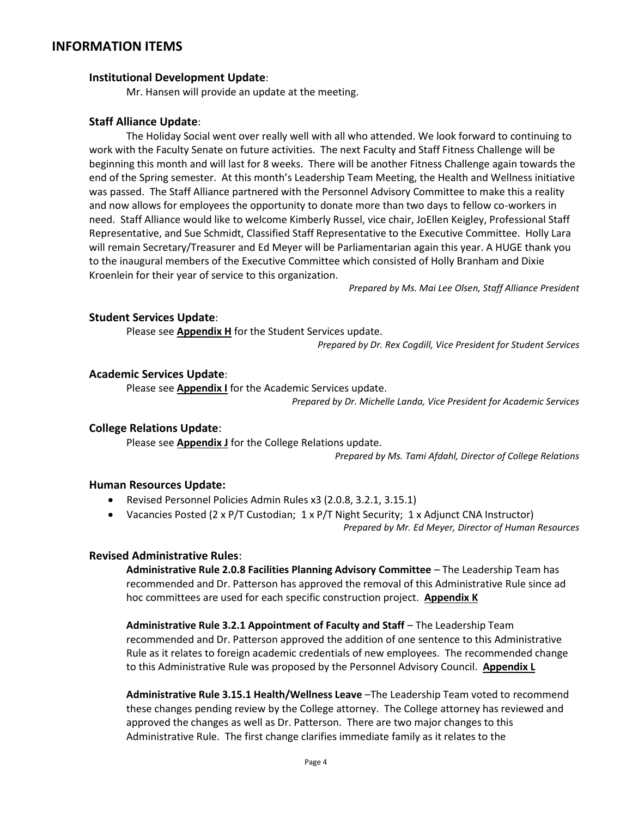# **INFORMATION ITEMS**

### **Institutional Development Update**:

Mr. Hansen will provide an update at the meeting.

### **Staff Alliance Update**:

The Holiday Social went over really well with all who attended. We look forward to continuing to work with the Faculty Senate on future activities. The next Faculty and Staff Fitness Challenge will be beginning this month and will last for 8 weeks. There will be another Fitness Challenge again towards the end of the Spring semester. At this month's Leadership Team Meeting, the Health and Wellness initiative was passed. The Staff Alliance partnered with the Personnel Advisory Committee to make this a reality and now allows for employees the opportunity to donate more than two days to fellow co-workers in need. Staff Alliance would like to welcome Kimberly Russel, vice chair, JoEllen Keigley, Professional Staff Representative, and Sue Schmidt, Classified Staff Representative to the Executive Committee. Holly Lara will remain Secretary/Treasurer and Ed Meyer will be Parliamentarian again this year. A HUGE thank you to the inaugural members of the Executive Committee which consisted of Holly Branham and Dixie Kroenlein for their year of service to this organization.

*Prepared by Ms. Mai Lee Olsen, Staff Alliance President*

### **Student Services Update**:

Please see **Appendix H** for the Student Services update.

*Prepared by Dr. Rex Cogdill, Vice President for Student Services*

### **Academic Services Update**:

Please see **Appendix I** for the Academic Services update. *Prepared by Dr. Michelle Landa, Vice President for Academic Services*

### **College Relations Update**:

Please see **Appendix J** for the College Relations update.

*Prepared by Ms. Tami Afdahl, Director of College Relations*

### **Human Resources Update:**

- Revised Personnel Policies Admin Rules x3 (2.0.8, 3.2.1, 3.15.1)
- Vacancies Posted (2 x P/T Custodian; 1 x P/T Night Security; 1 x Adjunct CNA Instructor) *Prepared by Mr. Ed Meyer, Director of Human Resources*

### **Revised Administrative Rules**:

**Administrative Rule 2.0.8 Facilities Planning Advisory Committee** – The Leadership Team has recommended and Dr. Patterson has approved the removal of this Administrative Rule since ad hoc committees are used for each specific construction project. **Appendix K**

**Administrative Rule 3.2.1 Appointment of Faculty and Staff** – The Leadership Team recommended and Dr. Patterson approved the addition of one sentence to this Administrative Rule as it relates to foreign academic credentials of new employees. The recommended change to this Administrative Rule was proposed by the Personnel Advisory Council. **Appendix L**

**Administrative Rule 3.15.1 Health/Wellness Leave** –The Leadership Team voted to recommend these changes pending review by the College attorney. The College attorney has reviewed and approved the changes as well as Dr. Patterson. There are two major changes to this Administrative Rule. The first change clarifies immediate family as it relates to the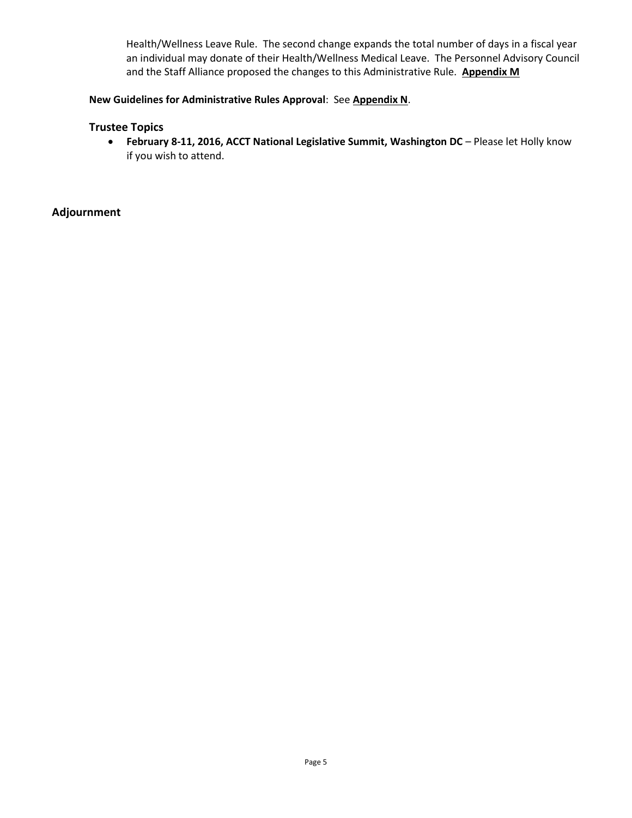Health/Wellness Leave Rule. The second change expands the total number of days in a fiscal year an individual may donate of their Health/Wellness Medical Leave. The Personnel Advisory Council and the Staff Alliance proposed the changes to this Administrative Rule. **Appendix M**

### **New Guidelines for Administrative Rules Approval**: See **Appendix N**.

### **Trustee Topics**

 **February 8-11, 2016, ACCT National Legislative Summit, Washington DC** – Please let Holly know if you wish to attend.

**Adjournment**